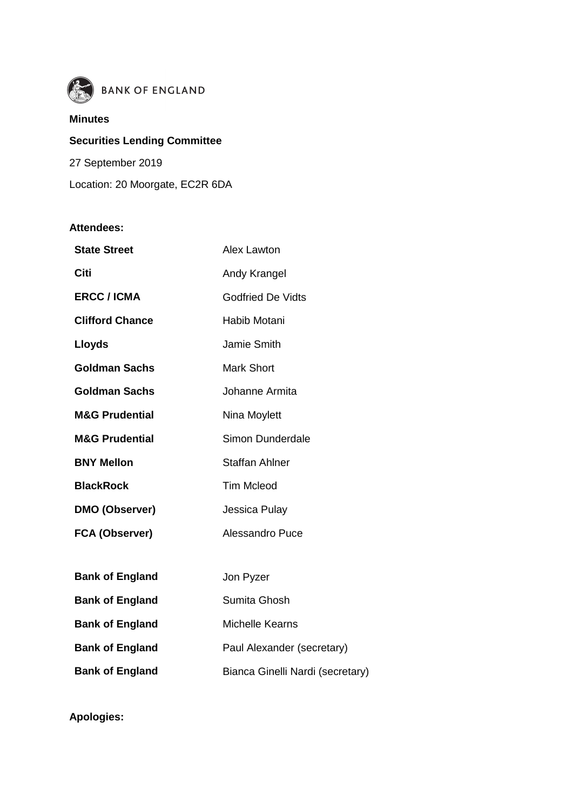

# **BANK OF ENGLAND**

#### **Minutes**

**Securities Lending Committee** 27 September 2019 Location: 20 Moorgate, EC2R 6DA

### **Attendees:**

| <b>State Street</b>       | Alex Lawton       |
|---------------------------|-------------------|
| Citi                      | Andy Krangel      |
| <b>ERCC / ICMA</b>        | Godfried De Vidts |
| <b>Clifford Chance</b>    | Habib Motani      |
| <b>Lloyds</b>             | Jamie Smith       |
| Goldman Sachs             | Mark Short        |
| Goldman Sachs             | Johanne Armita    |
| <b>M&amp;G Prudential</b> | Nina Moylett      |
| <b>M&amp;G Prudential</b> | Simon Dunderdale  |
| <b>BNY Mellon</b>         | Staffan Ahlner    |
| <b>BlackRock</b>          | <b>Tim Mcleod</b> |
| <b>DMO (Observer)</b>     | Jessica Pulay     |
| <b>FCA (Observer)</b>     | Alessandro Puce   |
|                           |                   |

| <b>Bank of England</b> | Jon Pyzer                        |
|------------------------|----------------------------------|
| <b>Bank of England</b> | Sumita Ghosh                     |
| <b>Bank of England</b> | <b>Michelle Kearns</b>           |
| <b>Bank of England</b> | Paul Alexander (secretary)       |
| <b>Bank of England</b> | Bianca Ginelli Nardi (secretary) |

**Apologies:**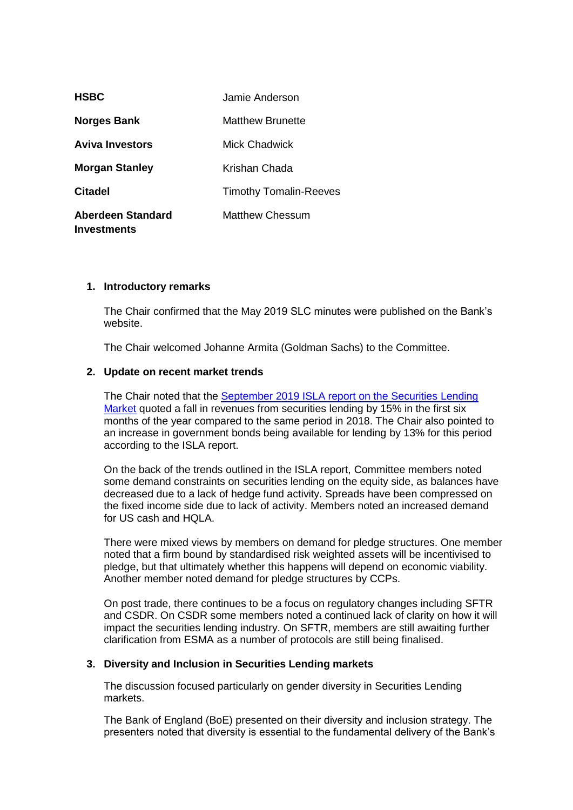| <b>HSBC</b>                                    | Jamie Anderson                |
|------------------------------------------------|-------------------------------|
| <b>Norges Bank</b>                             | Matthew Brunette              |
| <b>Aviva Investors</b>                         | Mick Chadwick                 |
| <b>Morgan Stanley</b>                          | Krishan Chada                 |
| <b>Citadel</b>                                 | <b>Timothy Tomalin-Reeves</b> |
| <b>Aberdeen Standard</b><br><b>Investments</b> | Matthew Chessum               |

#### **1. Introductory remarks**

The Chair confirmed that the May 2019 SLC minutes were published on the Bank's website.

The Chair welcomed Johanne Armita (Goldman Sachs) to the Committee.

#### **2. Update on recent market trends**

The Chair noted that the [September 2019 ISLA report on the Securities Lending](https://www.isla.co.uk/assets/smart-pdfs/isla-securities-lending-market-report/files/downloads/ISLA_SLReport_Sep2019.pdf)  [Market](https://www.isla.co.uk/assets/smart-pdfs/isla-securities-lending-market-report/files/downloads/ISLA_SLReport_Sep2019.pdf) quoted a fall in revenues from securities lending by 15% in the first six months of the year compared to the same period in 2018. The Chair also pointed to an increase in government bonds being available for lending by 13% for this period according to the ISLA report.

On the back of the trends outlined in the ISLA report, Committee members noted some demand constraints on securities lending on the equity side, as balances have decreased due to a lack of hedge fund activity. Spreads have been compressed on the fixed income side due to lack of activity. Members noted an increased demand for US cash and HQLA.

There were mixed views by members on demand for pledge structures. One member noted that a firm bound by standardised risk weighted assets will be incentivised to pledge, but that ultimately whether this happens will depend on economic viability. Another member noted demand for pledge structures by CCPs.

On post trade, there continues to be a focus on regulatory changes including SFTR and CSDR. On CSDR some members noted a continued lack of clarity on how it will impact the securities lending industry. On SFTR, members are still awaiting further clarification from ESMA as a number of protocols are still being finalised.

#### **3. Diversity and Inclusion in Securities Lending markets**

The discussion focused particularly on gender diversity in Securities Lending markets.

The Bank of England (BoE) presented on their diversity and inclusion strategy. The presenters noted that diversity is essential to the fundamental delivery of the Bank's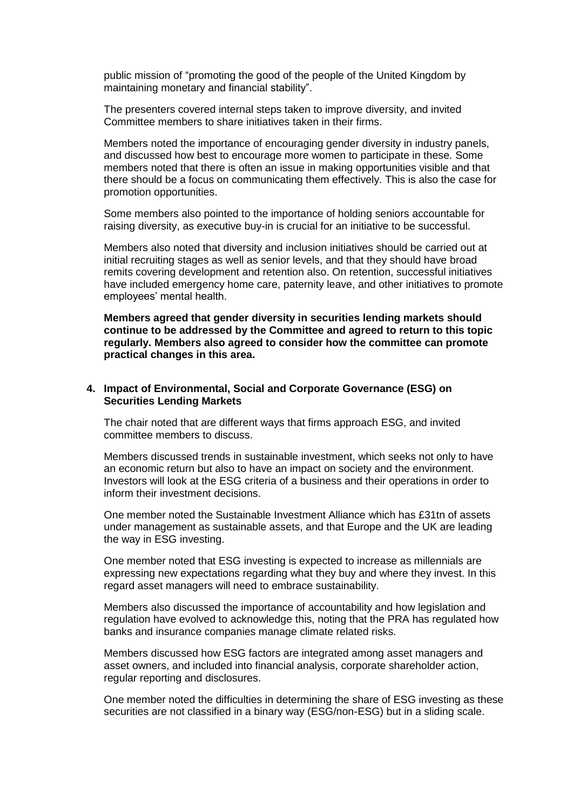public mission of "promoting the good of the people of the United Kingdom by maintaining monetary and financial stability".

The presenters covered internal steps taken to improve diversity, and invited Committee members to share initiatives taken in their firms.

Members noted the importance of encouraging gender diversity in industry panels, and discussed how best to encourage more women to participate in these. Some members noted that there is often an issue in making opportunities visible and that there should be a focus on communicating them effectively. This is also the case for promotion opportunities.

Some members also pointed to the importance of holding seniors accountable for raising diversity, as executive buy-in is crucial for an initiative to be successful.

Members also noted that diversity and inclusion initiatives should be carried out at initial recruiting stages as well as senior levels, and that they should have broad remits covering development and retention also. On retention, successful initiatives have included emergency home care, paternity leave, and other initiatives to promote employees' mental health.

**Members agreed that gender diversity in securities lending markets should continue to be addressed by the Committee and agreed to return to this topic regularly. Members also agreed to consider how the committee can promote practical changes in this area.**

#### **4. Impact of Environmental, Social and Corporate Governance (ESG) on Securities Lending Markets**

The chair noted that are different ways that firms approach ESG, and invited committee members to discuss.

Members discussed trends in sustainable investment, which seeks not only to have an economic return but also to have an impact on society and the environment. Investors will look at the ESG criteria of a business and their operations in order to inform their investment decisions.

One member noted the Sustainable Investment Alliance which has £31tn of assets under management as sustainable assets, and that Europe and the UK are leading the way in ESG investing.

One member noted that ESG investing is expected to increase as millennials are expressing new expectations regarding what they buy and where they invest. In this regard asset managers will need to embrace sustainability.

Members also discussed the importance of accountability and how legislation and regulation have evolved to acknowledge this, noting that the PRA has regulated how banks and insurance companies manage climate related risks.

Members discussed how ESG factors are integrated among asset managers and asset owners, and included into financial analysis, corporate shareholder action, regular reporting and disclosures.

One member noted the difficulties in determining the share of ESG investing as these securities are not classified in a binary way (ESG/non-ESG) but in a sliding scale.